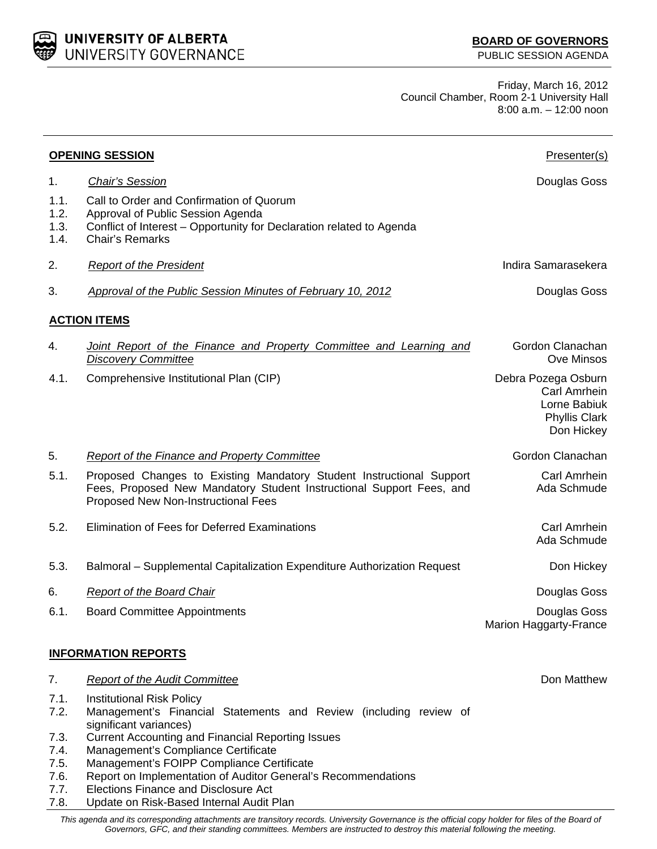UNIVERSITY OF ALBERTA UNIVERSITY GOVERNANCE

Friday, March 16, 2012 Council Chamber, Room 2-1 University Hall 8:00 a.m. – 12:00 noon

|                              | <b>OPENING SESSION</b>                                                                                                                                                              | Presenter(s)                                                                              |  |  |
|------------------------------|-------------------------------------------------------------------------------------------------------------------------------------------------------------------------------------|-------------------------------------------------------------------------------------------|--|--|
| 1.                           | <b>Chair's Session</b>                                                                                                                                                              | Douglas Goss                                                                              |  |  |
| 1.1.<br>1.2.<br>1.3.<br>1.4. | Call to Order and Confirmation of Quorum<br>Approval of Public Session Agenda<br>Conflict of Interest - Opportunity for Declaration related to Agenda<br><b>Chair's Remarks</b>     |                                                                                           |  |  |
| 2.                           | <b>Report of the President</b>                                                                                                                                                      | Indira Samarasekera                                                                       |  |  |
| 3.                           | Approval of the Public Session Minutes of February 10, 2012                                                                                                                         | Douglas Goss                                                                              |  |  |
| <b>ACTION ITEMS</b>          |                                                                                                                                                                                     |                                                                                           |  |  |
| 4.                           | <b>Joint Report of the Finance and Property Committee and Learning and</b><br><b>Discovery Committee</b>                                                                            | Gordon Clanachan<br>Ove Minsos                                                            |  |  |
| 4.1.                         | Comprehensive Institutional Plan (CIP)                                                                                                                                              | Debra Pozega Osburn<br>Carl Amrhein<br>Lorne Babiuk<br><b>Phyllis Clark</b><br>Don Hickey |  |  |
| 5.                           | Report of the Finance and Property Committee                                                                                                                                        | Gordon Clanachan                                                                          |  |  |
| 5.1.                         | Proposed Changes to Existing Mandatory Student Instructional Support<br>Fees, Proposed New Mandatory Student Instructional Support Fees, and<br>Proposed New Non-Instructional Fees | Carl Amrhein<br>Ada Schmude                                                               |  |  |
| 5.2.                         | Elimination of Fees for Deferred Examinations                                                                                                                                       | Carl Amrhein<br>Ada Schmude                                                               |  |  |
| 5.3.                         | Balmoral – Supplemental Capitalization Expenditure Authorization Request                                                                                                            | Don Hickey                                                                                |  |  |
| 6.                           | <b>Report of the Board Chair</b>                                                                                                                                                    | Douglas Goss                                                                              |  |  |
| 6.1.                         | <b>Board Committee Appointments</b>                                                                                                                                                 | Douglas Goss<br>Marion Haggarty-France                                                    |  |  |
|                              | <b>INFORMATION REPORTS</b>                                                                                                                                                          |                                                                                           |  |  |
| 7.                           | <b>Report of the Audit Committee</b>                                                                                                                                                | Don Matthew                                                                               |  |  |
| 7.1.<br>7.2.                 | <b>Institutional Risk Policy</b><br>Management's Financial Statements and Review (including review of<br>significant variances)                                                     |                                                                                           |  |  |
| 7.3.                         | <b>Current Accounting and Financial Reporting Issues</b>                                                                                                                            |                                                                                           |  |  |
| 7.4.<br>7.5.                 | Management's Compliance Certificate<br>Management's FOIPP Compliance Certificate                                                                                                    |                                                                                           |  |  |
| 7.6.<br>7.7.                 | Report on Implementation of Auditor General's Recommendations<br>Elections Finance and Disclosure Act                                                                               |                                                                                           |  |  |

7.8. Update on Risk-Based Internal Audit Plan

This agenda and its corresponding attachments are transitory records. University Governance is the official copy holder for files of the Board of *Governors, GFC, and their standing committees. Members are instructed to destroy this material following the meeting.*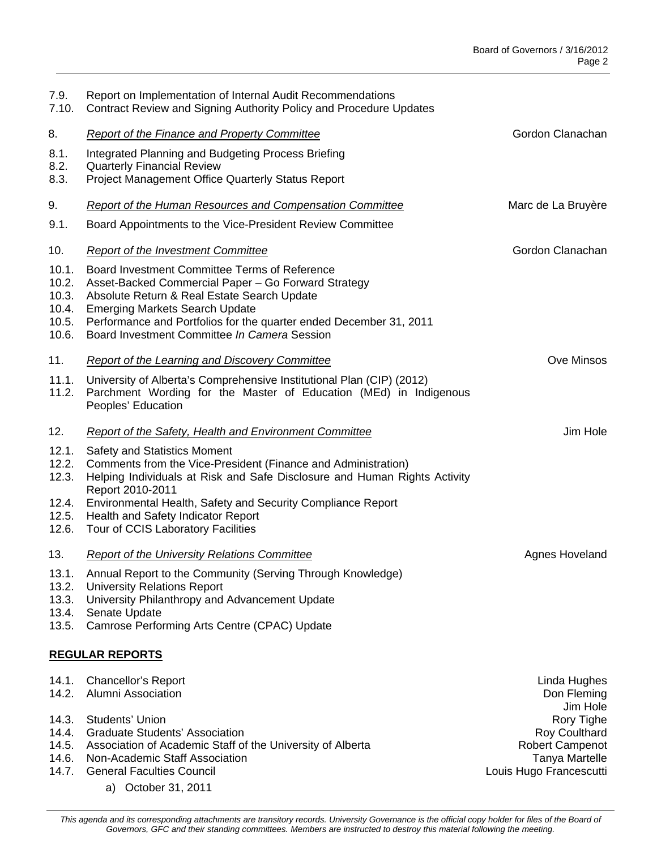| 7.9.<br>7.10.  | Report on Implementation of Internal Audit Recommendations<br>Contract Review and Signing Authority Policy and Procedure Updates           |                                           |
|----------------|--------------------------------------------------------------------------------------------------------------------------------------------|-------------------------------------------|
| 8.             | <b>Report of the Finance and Property Committee</b>                                                                                        | Gordon Clanachan                          |
| 8.1.           | Integrated Planning and Budgeting Process Briefing                                                                                         |                                           |
| 8.2.           | <b>Quarterly Financial Review</b>                                                                                                          |                                           |
| 8.3.           | <b>Project Management Office Quarterly Status Report</b>                                                                                   |                                           |
| 9.             | <b>Report of the Human Resources and Compensation Committee</b>                                                                            | Marc de La Bruyère                        |
| 9.1.           | Board Appointments to the Vice-President Review Committee                                                                                  |                                           |
| 10.            | <b>Report of the Investment Committee</b>                                                                                                  | Gordon Clanachan                          |
| 10.1.          | Board Investment Committee Terms of Reference                                                                                              |                                           |
| 10.2.          | Asset-Backed Commercial Paper - Go Forward Strategy                                                                                        |                                           |
| 10.3.<br>10.4. | Absolute Return & Real Estate Search Update<br><b>Emerging Markets Search Update</b>                                                       |                                           |
| 10.5.          | Performance and Portfolios for the quarter ended December 31, 2011                                                                         |                                           |
| 10.6.          | Board Investment Committee In Camera Session                                                                                               |                                           |
| 11.            | <b>Report of the Learning and Discovery Committee</b>                                                                                      | Ove Minsos                                |
| 11.1.          | University of Alberta's Comprehensive Institutional Plan (CIP) (2012)                                                                      |                                           |
| 11.2.          | Parchment Wording for the Master of Education (MEd) in Indigenous<br>Peoples' Education                                                    |                                           |
| 12.            | <b>Report of the Safety, Health and Environment Committee</b>                                                                              | Jim Hole                                  |
| 12.1.          | Safety and Statistics Moment                                                                                                               |                                           |
| 12.2.<br>12.3. | Comments from the Vice-President (Finance and Administration)<br>Helping Individuals at Risk and Safe Disclosure and Human Rights Activity |                                           |
|                | Report 2010-2011                                                                                                                           |                                           |
| 12.4.          | Environmental Health, Safety and Security Compliance Report                                                                                |                                           |
| 12.5.<br>12.6. | Health and Safety Indicator Report<br>Tour of CCIS Laboratory Facilities                                                                   |                                           |
|                |                                                                                                                                            |                                           |
| 13.            | <b>Report of the University Relations Committee</b>                                                                                        | Agnes Hoveland                            |
|                | 13.1. Annual Report to the Community (Serving Through Knowledge)                                                                           |                                           |
| 13.2.<br>13.3. | <b>University Relations Report</b><br>University Philanthropy and Advancement Update                                                       |                                           |
| 13.4.          | Senate Update                                                                                                                              |                                           |
| 13.5.          | Camrose Performing Arts Centre (CPAC) Update                                                                                               |                                           |
|                | <b>REGULAR REPORTS</b>                                                                                                                     |                                           |
| 14.1.          | <b>Chancellor's Report</b>                                                                                                                 | Linda Hughes                              |
| 14.2.          | Alumni Association                                                                                                                         | Don Fleming                               |
| 14.3.          | Students' Union                                                                                                                            | Jim Hole<br>Rory Tighe                    |
| 14.4.          | <b>Graduate Students' Association</b>                                                                                                      | <b>Roy Coulthard</b>                      |
| 14.5.          | Association of Academic Staff of the University of Alberta                                                                                 | <b>Robert Campenot</b>                    |
| 14.6.<br>14.7. | Non-Academic Staff Association<br><b>General Faculties Council</b>                                                                         | Tanya Martelle<br>Louis Hugo Francescutti |
|                | a) October 31, 2011                                                                                                                        |                                           |
|                |                                                                                                                                            |                                           |

This agenda and its corresponding attachments are transitory records. University Governance is the official copy holder for files of the Board of *Governors, GFC and their standing committees. Members are instructed to destroy this material following the meeting.*